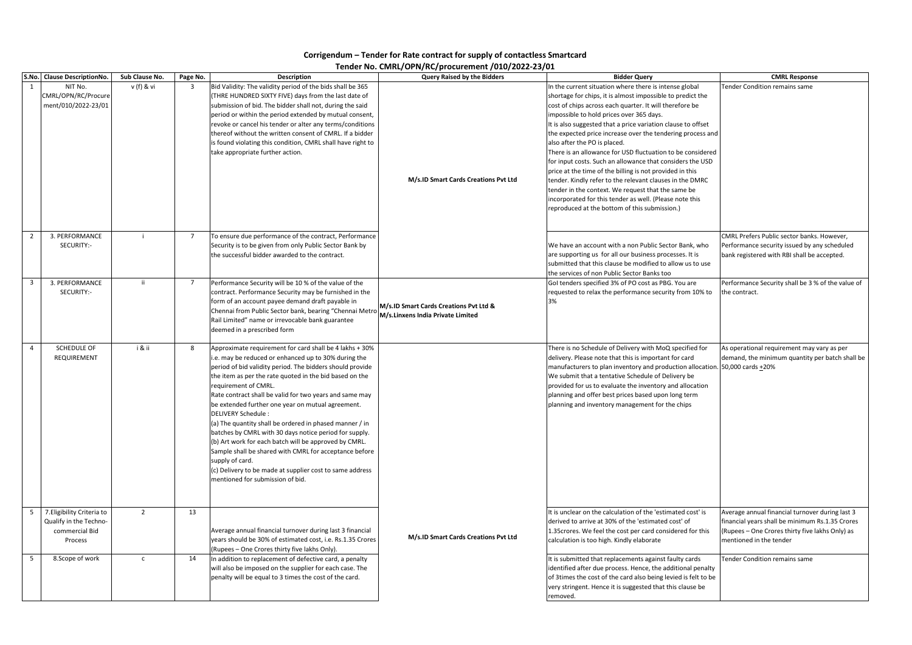|                | S.No. Clause DescriptionNo.                                                       | Sub Clause No. | Page No.                                  | <b>Description</b>                                                                                                                                                                                                                                                                                                                                                                                                                                                                                                                                                                                                                                                                                                                                                      | <b>Query Raised by the Bidders</b>                                          | <b>Bidder Query</b>                                                                                                                                                                                                                                                                                                                                                                                                                                                                                                                                                                                                                                                                                                                                                                                            | <b>CMRL Response</b>                                                                                                                                                             |
|----------------|-----------------------------------------------------------------------------------|----------------|-------------------------------------------|-------------------------------------------------------------------------------------------------------------------------------------------------------------------------------------------------------------------------------------------------------------------------------------------------------------------------------------------------------------------------------------------------------------------------------------------------------------------------------------------------------------------------------------------------------------------------------------------------------------------------------------------------------------------------------------------------------------------------------------------------------------------------|-----------------------------------------------------------------------------|----------------------------------------------------------------------------------------------------------------------------------------------------------------------------------------------------------------------------------------------------------------------------------------------------------------------------------------------------------------------------------------------------------------------------------------------------------------------------------------------------------------------------------------------------------------------------------------------------------------------------------------------------------------------------------------------------------------------------------------------------------------------------------------------------------------|----------------------------------------------------------------------------------------------------------------------------------------------------------------------------------|
| 1              | NIT No.<br>CMRL/OPN/RC/Procure<br>ment/010/2022-23/01<br>3. PERFORMANCE           | v (f) & vi     | $\overline{\mathbf{3}}$<br>$\overline{7}$ | Bid Validity: The validity period of the bids shall be 365<br>(THRE HUNDRED SIXTY FIVE) days from the last date of<br>submission of bid. The bidder shall not, during the said<br>period or within the period extended by mutual consent,<br>revoke or cancel his tender or alter any terms/conditions<br>thereof without the written consent of CMRL. If a bidder<br>is found violating this condition, CMRL shall have right to<br>take appropriate further action.<br>To ensure due performance of the contract, Performance                                                                                                                                                                                                                                         | M/s.ID Smart Cards Creations Pvt Ltd                                        | In the current situation where there is intense global<br>shortage for chips, it is almost impossible to predict the<br>cost of chips across each quarter. It will therefore be<br>impossible to hold prices over 365 days.<br>It is also suggested that a price variation clause to offset<br>the expected price increase over the tendering process and<br>also after the PO is placed.<br>There is an allowance for USD fluctuation to be considered<br>for input costs. Such an allowance that considers the USD<br>price at the time of the billing is not provided in this<br>tender. Kindly refer to the relevant clauses in the DMRC<br>tender in the context. We request that the same be<br>incorporated for this tender as well. (Please note this<br>reproduced at the bottom of this submission.) | Tender Condition remains same<br>CMRL Prefers Public sector banks. However,                                                                                                      |
| 2              | SECURITY:-                                                                        |                |                                           | Security is to be given from only Public Sector Bank by<br>the successful bidder awarded to the contract.                                                                                                                                                                                                                                                                                                                                                                                                                                                                                                                                                                                                                                                               |                                                                             | We have an account with a non Public Sector Bank, who<br>are supporting us for all our business processes. It is<br>submitted that this clause be modified to allow us to use<br>the services of non Public Sector Banks too                                                                                                                                                                                                                                                                                                                                                                                                                                                                                                                                                                                   | Performance security issued by any scheduled<br>bank registered with RBI shall be accepted.                                                                                      |
| 3              | 3. PERFORMANCE<br>SECURITY:-                                                      |                | $\overline{7}$                            | Performance Security will be 10 % of the value of the<br>contract. Performance Security may be furnished in the<br>form of an account payee demand draft payable in<br>Chennai from Public Sector bank, bearing "Chennai Metro<br>Rail Limited" name or irrevocable bank guarantee<br>deemed in a prescribed form                                                                                                                                                                                                                                                                                                                                                                                                                                                       | M/s.ID Smart Cards Creations Pvt Ltd &<br>M/s.Linxens India Private Limited | Gol tenders specified 3% of PO cost as PBG. You are<br>requested to relax the performance security from 10% to<br>13%                                                                                                                                                                                                                                                                                                                                                                                                                                                                                                                                                                                                                                                                                          | Performance Security shall be 3 % of the value of<br>the contract.                                                                                                               |
| $\overline{4}$ | SCHEDULE OF<br>REQUIREMENT                                                        | i & ii         | 8                                         | Approximate requirement for card shall be 4 lakhs + 30%<br>i.e. may be reduced or enhanced up to 30% during the<br>period of bid validity period. The bidders should provide<br>the item as per the rate quoted in the bid based on the<br>requirement of CMRL.<br>Rate contract shall be valid for two years and same may<br>be extended further one year on mutual agreement.<br><b>DELIVERY Schedule:</b><br>(a) The quantity shall be ordered in phased manner / in<br>batches by CMRL with 30 days notice period for supply.<br>(b) Art work for each batch will be approved by CMRL.<br>Sample shall be shared with CMRL for acceptance before<br>supply of card.<br>(c) Delivery to be made at supplier cost to same address<br>mentioned for submission of bid. |                                                                             | There is no Schedule of Delivery with MoQ specified for<br>delivery. Please note that this is important for card<br>manufacturers to plan inventory and production allocation. 50,000 cards +20%<br>We submit that a tentative Schedule of Delivery be<br>provided for us to evaluate the inventory and allocation<br>planning and offer best prices based upon long term<br>planning and inventory management for the chips                                                                                                                                                                                                                                                                                                                                                                                   | As operational requirement may vary as per<br>demand, the minimum quantity per batch shall be                                                                                    |
| 5              | 7. Eligibility Criteria to<br>Qualify in the Techno-<br>commercial Bid<br>Process | 2              | 13                                        | Average annual financial turnover during last 3 financial<br>years should be 30% of estimated cost, i.e. Rs.1.35 Crores<br>(Rupees - One Crores thirty five lakhs Only).                                                                                                                                                                                                                                                                                                                                                                                                                                                                                                                                                                                                | M/s.ID Smart Cards Creations Pvt Ltd                                        | It is unclear on the calculation of the 'estimated cost' is<br>derived to arrive at 30% of the 'estimated cost' of<br>1.35 crores. We feel the cost per card considered for this<br>calculation is too high. Kindly elaborate                                                                                                                                                                                                                                                                                                                                                                                                                                                                                                                                                                                  | Average annual financial turnover during last 3<br>financial years shall be minimum Rs.1.35 Crores<br>(Rupees - One Crores thirty five lakhs Only) as<br>mentioned in the tender |
| 5              | 8.Scope of work                                                                   | $\mathsf{C}$   | 14                                        | In addition to replacement of defective card, a penalty<br>will also be imposed on the supplier for each case. The<br>penalty will be equal to 3 times the cost of the card.                                                                                                                                                                                                                                                                                                                                                                                                                                                                                                                                                                                            |                                                                             | It is submitted that replacements against faulty cards<br>identified after due process. Hence, the additional penalty<br>of 3times the cost of the card also being levied is felt to be<br>very stringent. Hence it is suggested that this clause be<br>removed.                                                                                                                                                                                                                                                                                                                                                                                                                                                                                                                                               | Tender Condition remains same                                                                                                                                                    |

## **Corrigendum – Tender for Rate contract for supply of contactless Smartcard**

## **Tender No. CMRL/OPN/RC/procurement /010/2022-23/01**